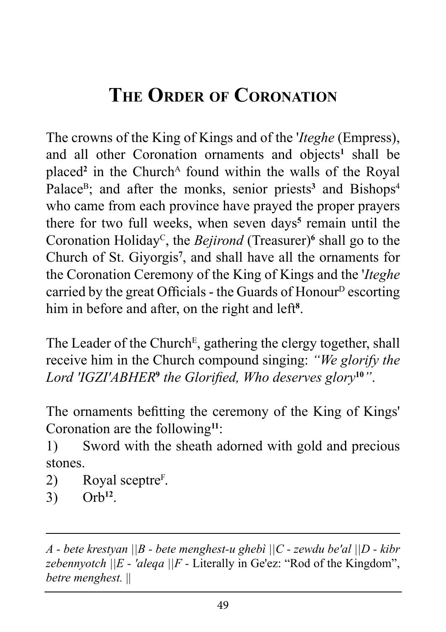## THE ORDER OF CORONATION

The crowns of the King of Kings and of the *Iteghe* (Empress), and all other Coronation ornaments and objects<sup>1</sup> shall be placed<sup>2</sup> in the Church<sup>A</sup> found within the walls of the Royal Palace<sup>B</sup>; and after the monks, senior priests<sup>3</sup> and Bishops<sup>4</sup> who came from each province have prayed the proper prayers there for two full weeks, when seven days<sup>5</sup> remain until the Coronation Holiday<sup>c</sup>, the *Bejirond* (Treasurer)<sup>6</sup> shall go to the Church of St. Giyorgis<sup>7</sup>, and shall have all the ornaments for the Coronation Ceremony of the King of Kings and the *Iteghe* carried by the great Officials - the Guards of Honour<sup>D</sup> escorting him in before and after, on the right and left<sup>8</sup>.

The Leader of the Church<sup>E</sup>, gathering the clergy together, shall receive him in the Church compound singing: "We glorify the Lord 'IGZI'ABHER<sup>9</sup> the Glorified, Who deserves glory<sup>10</sup>".

The ornaments befitting the ceremony of the King of Kings' Coronation are the following $11$ :

Sword with the sheath adorned with gold and precious  $1)$ stones.

- Royal sceptre<sup>F</sup>.  $(2)$
- $Orb<sup>12</sup>$ .  $3)$

A - bete krestyan  $||B - b$ ete menghest-u ghebì  $||C - z$ ewdu be'al  $||D - k$ ibr *zebennyotch*  $||E - 'alega||F - Literally in Ge'ez: "Rod of the Kingdom",$ betre menghest. ||